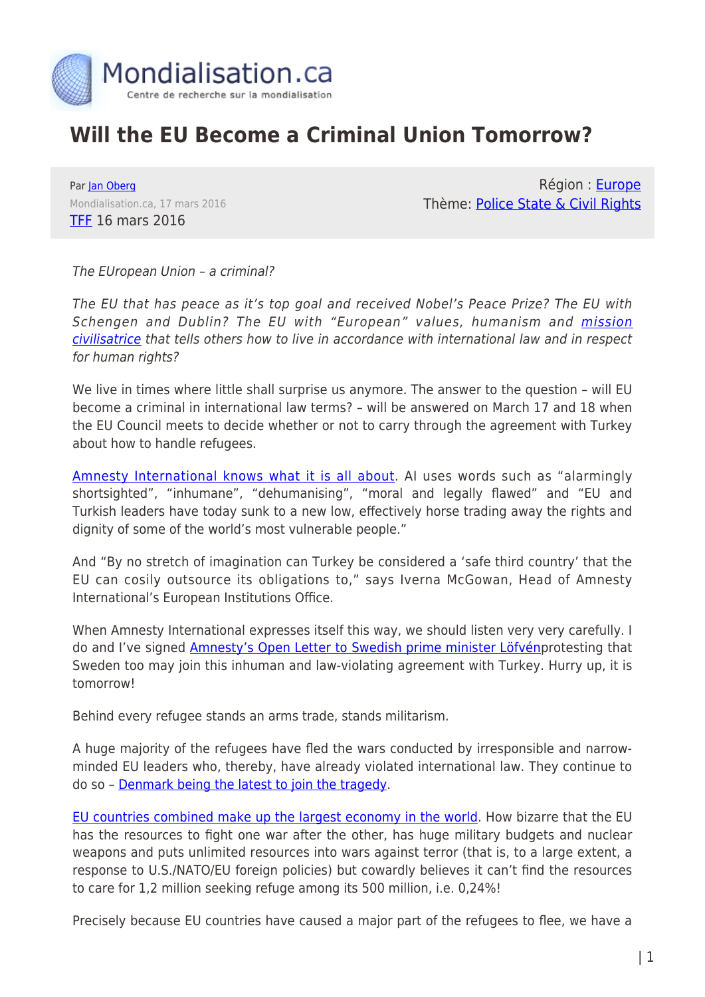

## **Will the EU Become a Criminal Union Tomorrow?**

Par [Jan Oberg](https://www.mondialisation.ca/author/jan-oberg) Mondialisation.ca, 17 mars 2016 [TFF](http://blog.transnational.org/2016/03/tff-pressinfo-366-will-the-eu-become-a-criminal-union-tomorrow/#more-4717) 16 mars 2016

Région : [Europe](https://www.mondialisation.ca/region/europe) Thème: [Police State & Civil Rights](https://www.mondialisation.ca/theme/police-state-civil-rights)

The EUropean Union – a criminal?

The EU that has peace as it's top goal and received Nobel's Peace Prize? The EU with Schengen and Dublin? The EU with "European" values, humanism and *mission* [civilisatrice](https://en.wikipedia.org/wiki/Civilizing_mission) that tells others how to live in accordance with international law and in respect for human rights?

We live in times where little shall surprise us anymore. The answer to the question – will EU become a criminal in international law terms? – will be answered on March 17 and 18 when the EU Council meets to decide whether or not to carry through the agreement with Turkey about how to handle refugees.

[Amnesty International knows what it is all about](http://www.amnesty.eu/en/news/press-releases/all/eu-turkey-summit-eu-and-turkish-leaders-deal-death-blow-to-the-right-to-seek-asylum-0963/#.Vuk88JPhAeM). AI uses words such as "alarmingly shortsighted", "inhumane", "dehumanising", "moral and legally flawed" and "EU and Turkish leaders have today sunk to a new low, effectively horse trading away the rights and dignity of some of the world's most vulnerable people."

And "By no stretch of imagination can Turkey be considered a 'safe third country' that the EU can cosily outsource its obligations to," says Iverna McGowan, Head of Amnesty International's European Institutions Office.

When Amnesty International expresses itself this way, we should listen very very carefully. I do and I've signed **Amnesty's Open Letter to Swedish prime minister Löfvénprotesting that** Sweden too may join this inhuman and law-violating agreement with Turkey. Hurry up, it is tomorrow!

Behind every refugee stands an arms trade, stands militarism.

A huge majority of the refugees have fled the wars conducted by irresponsible and narrowminded EU leaders who, thereby, have already violated international law. They continue to do so – [Denmark being the latest to join the tragedy.](http://blog.transnational.org/2016/03/denmark-to-attack-in-syria-too/)

[EU countries combined make up the largest economy in the world.](http://uk.businessinsider.com/charts-eu-economy-is-bigger-than-the-us-2015-6?r=US&IR=T) How bizarre that the EU has the resources to fight one war after the other, has huge military budgets and nuclear weapons and puts unlimited resources into wars against terror (that is, to a large extent, a response to U.S./NATO/EU foreign policies) but cowardly believes it can't find the resources to care for 1,2 million seeking refuge among its 500 million, i.e. 0,24%!

Precisely because EU countries have caused a major part of the refugees to flee, we have a